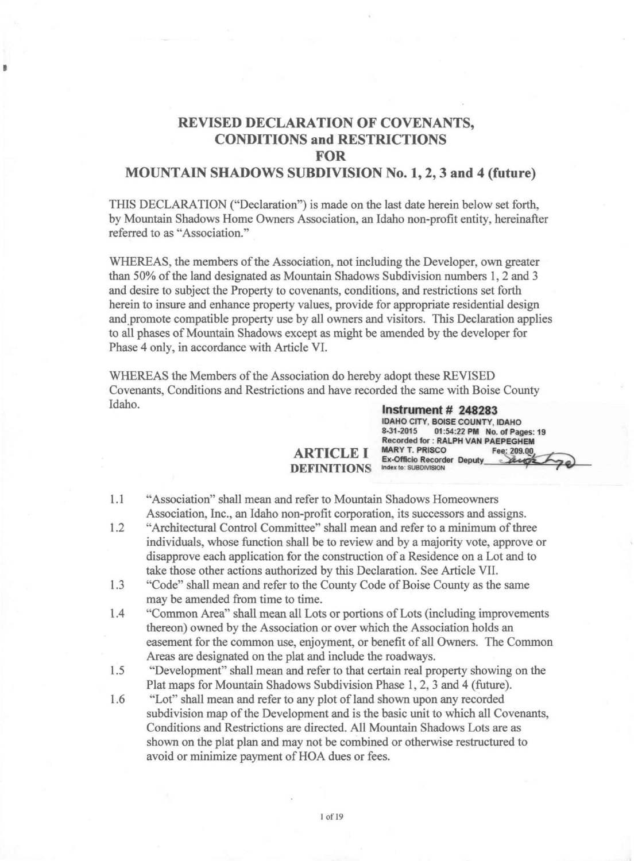#### REVISED DECLARATION OF COVENANTS, CONDITIONS and RESTRICTIONS FOR MOUNTAIN SHADOWS SUBDIVISION No.1, 2, 3 and 4 (future)

•

THIS DECLARATION ("Declaration") is made on the last date herein below set forth, by Mountain Shadows Home Owners Association, an Idaho non-profit entity, hereinafter referred to as "Association."

WHEREAS, the members of the Association, not including the Developer, own greater than 50% of the land designated as Mountain Shadows Subdivision numbers 1,2 and 3 and desire to subject the Property to covenants, conditions, and restrictions set forth herein to insure and enhance property values, provide for appropriate residential design and promote compatible property use by all owners and visitors. This Declaration applies to all phases of Mountain Shadows except as might be amended by the developer for Phase 4 only, in accordance with Article VI.

WHEREAS the Members of the Association do hereby adopt these REVISED Covenants, Conditions and Restrictions and have recorded the same with Boise County Idaho. **Instrument # 248283** 

#### ARTICLE I DEFINITIONS

Index to: SUBDIVISION 1.1 "Association" shall mean and refer to Mountain Shadows Homeowners

IDAHO CITY, BOISE COUNTY, IDAHO<br>8-31-2015 01:54:22 PM No. of Pac

Ex-Officio Recorder Deputy

Recorded for: RALPH VAN PAEPEGHEM MARY T. PRISCO Fee: 209.00

01:54:22 PM No. of Pages: 19

- Association, Inc., an Idaho non-profit corporation, its successors and assigns. 1.2 "Architectural Control Committee" shall mean and refer to a minimum of three individuals, whose function shall be to review and by a majority vote, approve or disapprove each application for the construction of a Residence on a Lot and to
- take those other actions authorized by this Declaration. See Article VII. 1.3 "Code" shall mean and refer to the County Code of Boise County as the same may be amended from time to time.
- 1.4 "Common Area" shall mean all Lots or portions of Lots (including improvements thereon) owned by the Association or over which the Association holds an easement for the common use, enjoyment, or benefit of all Owners. The Common Areas are designated on the plat and include the roadways.
- 1.5 "Development" shall mean and refer to that certain real property showing on the Plat maps for Mountain Shadows Subdivision Phase 1, 2, 3 and 4 (future).
- 1.6 "Lot" shall mean and refer to any plot of land shown upon any recorded subdivision map of the Development and is the basic unit to which all Covenants, Conditions and Restrictions are directed. All Mountain Shadows Lots are as shown on the plat plan and may not be combined or otherwise restructured to avoid or minimize payment of HOA dues or fees.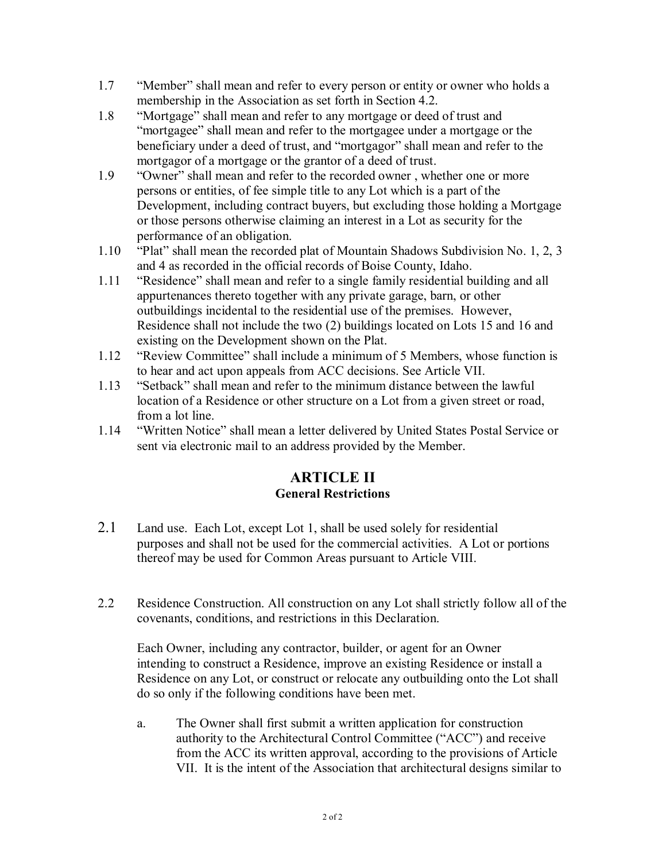- 1.7 "Member" shall mean and refer to every person or entity or owner who holds a membership in the Association as set forth in Section 4.2.
- 1.8 "Mortgage" shall mean and refer to any mortgage or deed of trust and "mortgagee" shall mean and refer to the mortgagee under a mortgage or the beneficiary under a deed of trust, and "mortgagor" shall mean and refer to the mortgagor of a mortgage or the grantor of a deed of trust.
- 1.9 "Owner" shall mean and refer to the recorded owner , whether one or more persons or entities, of fee simple title to any Lot which is a part of the Development, including contract buyers, but excluding those holding a Mortgage or those persons otherwise claiming an interest in a Lot as security for the performance of an obligation.
- 1.10 "Plat" shall mean the recorded plat of Mountain Shadows Subdivision No. 1, 2, 3 and 4 as recorded in the official records of Boise County, Idaho.
- 1.11 "Residence" shall mean and refer to a single family residential building and all appurtenances thereto together with any private garage, barn, or other outbuildings incidental to the residential use of the premises. However, Residence shall not include the two (2) buildings located on Lots 15 and 16 and existing on the Development shown on the Plat.
- 1.12 "Review Committee" shall include a minimum of 5 Members, whose function is to hear and act upon appeals from ACC decisions. See Article VII.
- 1.13 "Setback" shall mean and refer to the minimum distance between the lawful location of a Residence or other structure on a Lot from a given street or road, from a lot line.
- 1.14 "Written Notice" shall mean a letter delivered by United States Postal Service or sent via electronic mail to an address provided by the Member.

## **ARTICLE II General Restrictions**

- 2.1 Land use. Each Lot, except Lot 1, shall be used solely for residential purposes and shall not be used for the commercial activities. A Lot or portions thereof may be used for Common Areas pursuant to Article VIII.
- 2.2 Residence Construction. All construction on any Lot shall strictly follow all of the covenants, conditions, and restrictions in this Declaration.

Each Owner, including any contractor, builder, or agent for an Owner intending to construct a Residence, improve an existing Residence or install a Residence on any Lot, or construct or relocate any outbuilding onto the Lot shall do so only if the following conditions have been met.

a. The Owner shall first submit a written application for construction authority to the Architectural Control Committee ("ACC") and receive from the ACC its written approval, according to the provisions of Article VII. It is the intent of the Association that architectural designs similar to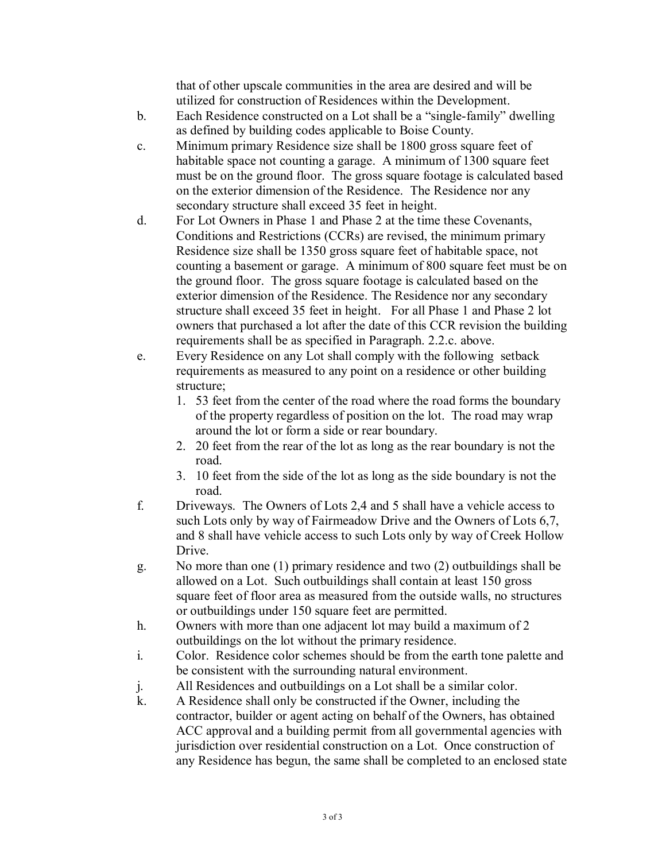that of other upscale communities in the area are desired and will be utilized for construction of Residences within the Development.

- b. Each Residence constructed on a Lot shall be a "single-family" dwelling as defined by building codes applicable to Boise County.
- c. Minimum primary Residence size shall be 1800 gross square feet of habitable space not counting a garage. A minimum of 1300 square feet must be on the ground floor. The gross square footage is calculated based on the exterior dimension of the Residence. The Residence nor any secondary structure shall exceed 35 feet in height.
- d. For Lot Owners in Phase 1 and Phase 2 at the time these Covenants, Conditions and Restrictions (CCRs) are revised, the minimum primary Residence size shall be 1350 gross square feet of habitable space, not counting a basement or garage. A minimum of 800 square feet must be on the ground floor. The gross square footage is calculated based on the exterior dimension of the Residence. The Residence nor any secondary structure shall exceed 35 feet in height. For all Phase 1 and Phase 2 lot owners that purchased a lot after the date of this CCR revision the building requirements shall be as specified in Paragraph. 2.2.c. above.
- e. Every Residence on any Lot shall comply with the following setback requirements as measured to any point on a residence or other building structure;
	- 1. 53 feet from the center of the road where the road forms the boundary of the property regardless of position on the lot. The road may wrap around the lot or form a side or rear boundary.
	- 2. 20 feet from the rear of the lot as long as the rear boundary is not the road.
	- 3. 10 feet from the side of the lot as long as the side boundary is not the road.
- f. Driveways. The Owners of Lots 2,4 and 5 shall have a vehicle access to such Lots only by way of Fairmeadow Drive and the Owners of Lots 6,7, and 8 shall have vehicle access to such Lots only by way of Creek Hollow Drive.
- g. No more than one (1) primary residence and two (2) outbuildings shall be allowed on a Lot. Such outbuildings shall contain at least 150 gross square feet of floor area as measured from the outside walls, no structures or outbuildings under 150 square feet are permitted.
- h. Owners with more than one adjacent lot may build a maximum of 2 outbuildings on the lot without the primary residence.
- i. Color. Residence color schemes should be from the earth tone palette and be consistent with the surrounding natural environment.
- j. All Residences and outbuildings on a Lot shall be a similar color.
- k. A Residence shall only be constructed if the Owner, including the contractor, builder or agent acting on behalf of the Owners, has obtained ACC approval and a building permit from all governmental agencies with jurisdiction over residential construction on a Lot. Once construction of any Residence has begun, the same shall be completed to an enclosed state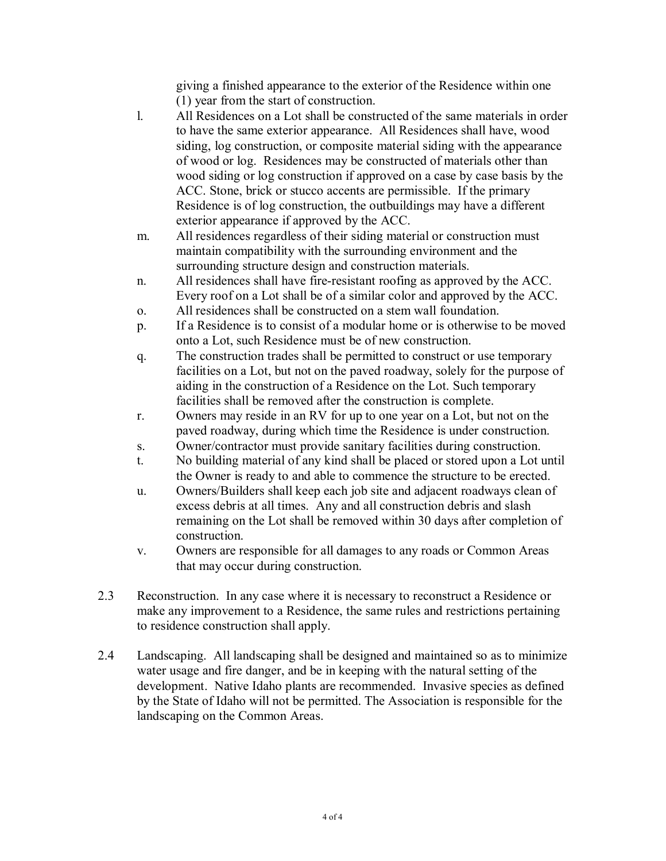giving a finished appearance to the exterior of the Residence within one (1) year from the start of construction.

- l. All Residences on a Lot shall be constructed of the same materials in order to have the same exterior appearance. All Residences shall have, wood siding, log construction, or composite material siding with the appearance of wood or log. Residences may be constructed of materials other than wood siding or log construction if approved on a case by case basis by the ACC. Stone, brick or stucco accents are permissible. If the primary Residence is of log construction, the outbuildings may have a different exterior appearance if approved by the ACC.
- m. All residences regardless of their siding material or construction must maintain compatibility with the surrounding environment and the surrounding structure design and construction materials.
- n. All residences shall have fire-resistant roofing as approved by the ACC. Every roof on a Lot shall be of a similar color and approved by the ACC.
- o. All residences shall be constructed on a stem wall foundation.
- p. If a Residence is to consist of a modular home or is otherwise to be moved onto a Lot, such Residence must be of new construction.
- q. The construction trades shall be permitted to construct or use temporary facilities on a Lot, but not on the paved roadway, solely for the purpose of aiding in the construction of a Residence on the Lot. Such temporary facilities shall be removed after the construction is complete.
- r. Owners may reside in an RV for up to one year on a Lot, but not on the paved roadway, during which time the Residence is under construction.
- s. Owner/contractor must provide sanitary facilities during construction.
- t. No building material of any kind shall be placed or stored upon a Lot until the Owner is ready to and able to commence the structure to be erected.
- u. Owners/Builders shall keep each job site and adjacent roadways clean of excess debris at all times. Any and all construction debris and slash remaining on the Lot shall be removed within 30 days after completion of construction.
- v. Owners are responsible for all damages to any roads or Common Areas that may occur during construction.
- 2.3 Reconstruction. In any case where it is necessary to reconstruct a Residence or make any improvement to a Residence, the same rules and restrictions pertaining to residence construction shall apply.
- 2.4 Landscaping. All landscaping shall be designed and maintained so as to minimize water usage and fire danger, and be in keeping with the natural setting of the development. Native Idaho plants are recommended. Invasive species as defined by the State of Idaho will not be permitted. The Association is responsible for the landscaping on the Common Areas.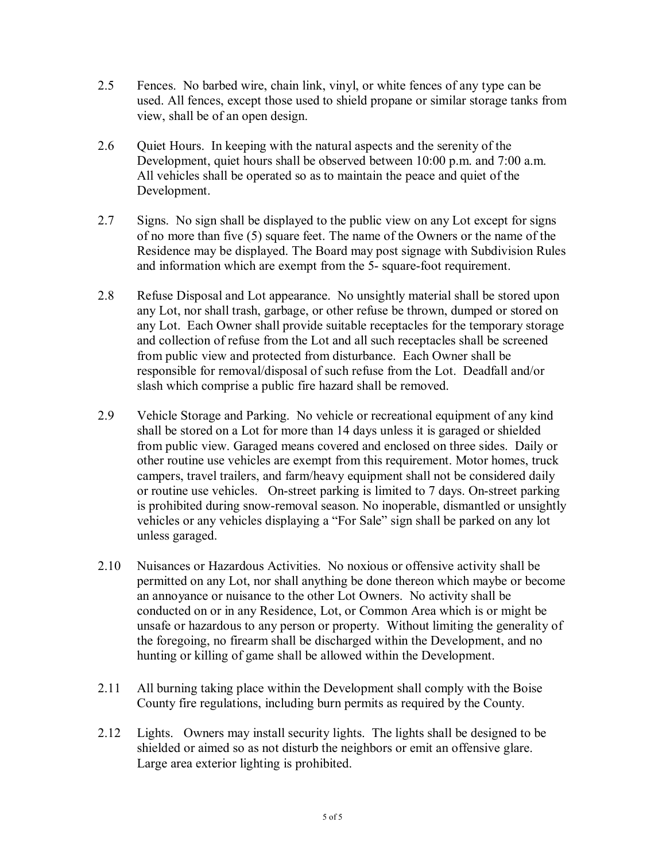- 2.5 Fences. No barbed wire, chain link, vinyl, or white fences of any type can be used. All fences, except those used to shield propane or similar storage tanks from view, shall be of an open design.
- 2.6 Quiet Hours. In keeping with the natural aspects and the serenity of the Development, quiet hours shall be observed between 10:00 p.m. and 7:00 a.m. All vehicles shall be operated so as to maintain the peace and quiet of the Development.
- 2.7 Signs. No sign shall be displayed to the public view on any Lot except for signs of no more than five (5) square feet. The name of the Owners or the name of the Residence may be displayed. The Board may post signage with Subdivision Rules and information which are exempt from the 5- square-foot requirement.
- 2.8 Refuse Disposal and Lot appearance. No unsightly material shall be stored upon any Lot, nor shall trash, garbage, or other refuse be thrown, dumped or stored on any Lot. Each Owner shall provide suitable receptacles for the temporary storage and collection of refuse from the Lot and all such receptacles shall be screened from public view and protected from disturbance. Each Owner shall be responsible for removal/disposal of such refuse from the Lot. Deadfall and/or slash which comprise a public fire hazard shall be removed.
- 2.9 Vehicle Storage and Parking. No vehicle or recreational equipment of any kind shall be stored on a Lot for more than 14 days unless it is garaged or shielded from public view. Garaged means covered and enclosed on three sides. Daily or other routine use vehicles are exempt from this requirement. Motor homes, truck campers, travel trailers, and farm/heavy equipment shall not be considered daily or routine use vehicles. On-street parking is limited to 7 days. On-street parking is prohibited during snow-removal season. No inoperable, dismantled or unsightly vehicles or any vehicles displaying a "For Sale" sign shall be parked on any lot unless garaged.
- 2.10 Nuisances or Hazardous Activities. No noxious or offensive activity shall be permitted on any Lot, nor shall anything be done thereon which maybe or become an annoyance or nuisance to the other Lot Owners. No activity shall be conducted on or in any Residence, Lot, or Common Area which is or might be unsafe or hazardous to any person or property. Without limiting the generality of the foregoing, no firearm shall be discharged within the Development, and no hunting or killing of game shall be allowed within the Development.
- 2.11 All burning taking place within the Development shall comply with the Boise County fire regulations, including burn permits as required by the County.
- 2.12 Lights. Owners may install security lights. The lights shall be designed to be shielded or aimed so as not disturb the neighbors or emit an offensive glare. Large area exterior lighting is prohibited.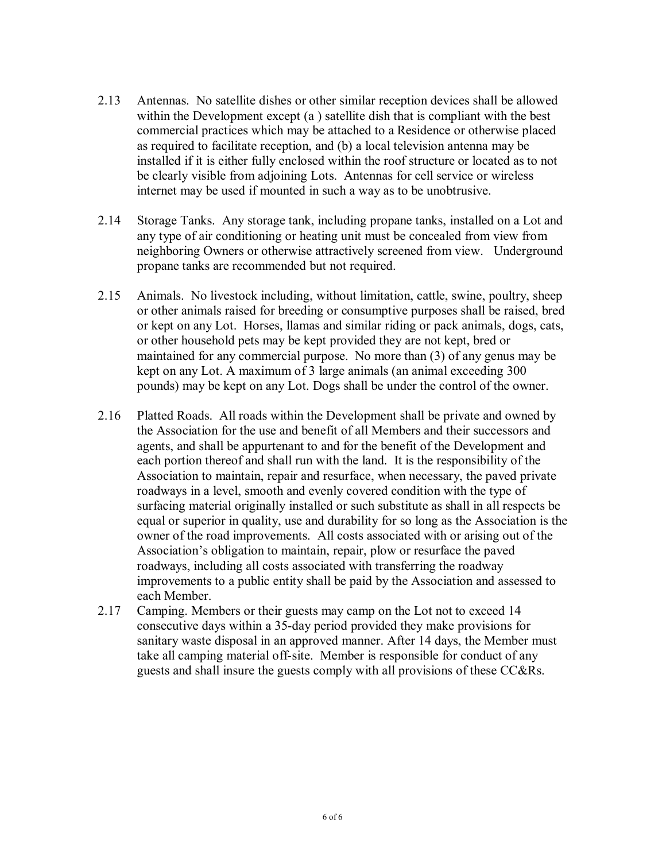- 2.13 Antennas. No satellite dishes or other similar reception devices shall be allowed within the Development except (a ) satellite dish that is compliant with the best commercial practices which may be attached to a Residence or otherwise placed as required to facilitate reception, and (b) a local television antenna may be installed if it is either fully enclosed within the roof structure or located as to not be clearly visible from adjoining Lots. Antennas for cell service or wireless internet may be used if mounted in such a way as to be unobtrusive.
- 2.14 Storage Tanks. Any storage tank, including propane tanks, installed on a Lot and any type of air conditioning or heating unit must be concealed from view from neighboring Owners or otherwise attractively screened from view. Underground propane tanks are recommended but not required.
- 2.15 Animals. No livestock including, without limitation, cattle, swine, poultry, sheep or other animals raised for breeding or consumptive purposes shall be raised, bred or kept on any Lot. Horses, llamas and similar riding or pack animals, dogs, cats, or other household pets may be kept provided they are not kept, bred or maintained for any commercial purpose. No more than (3) of any genus may be kept on any Lot. A maximum of 3 large animals (an animal exceeding 300 pounds) may be kept on any Lot. Dogs shall be under the control of the owner.
- 2.16 Platted Roads. All roads within the Development shall be private and owned by the Association for the use and benefit of all Members and their successors and agents, and shall be appurtenant to and for the benefit of the Development and each portion thereof and shall run with the land. It is the responsibility of the Association to maintain, repair and resurface, when necessary, the paved private roadways in a level, smooth and evenly covered condition with the type of surfacing material originally installed or such substitute as shall in all respects be equal or superior in quality, use and durability for so long as the Association is the owner of the road improvements. All costs associated with or arising out of the Association's obligation to maintain, repair, plow or resurface the paved roadways, including all costs associated with transferring the roadway improvements to a public entity shall be paid by the Association and assessed to each Member.
- 2.17 Camping. Members or their guests may camp on the Lot not to exceed 14 consecutive days within a 35-day period provided they make provisions for sanitary waste disposal in an approved manner. After 14 days, the Member must take all camping material off-site. Member is responsible for conduct of any guests and shall insure the guests comply with all provisions of these CC&Rs.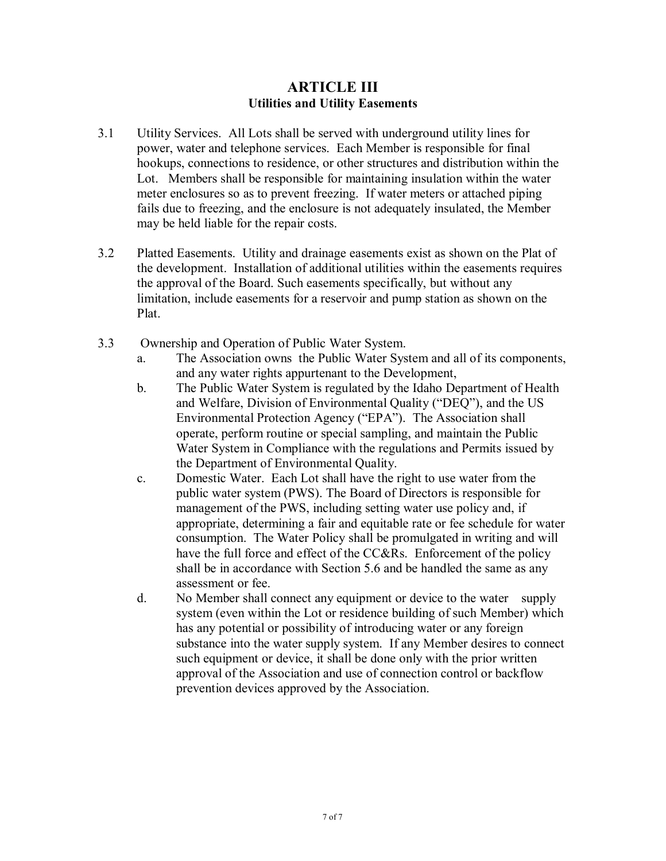#### **ARTICLE III Utilities and Utility Easements**

- 3.1 Utility Services. All Lots shall be served with underground utility lines for power, water and telephone services. Each Member is responsible for final hookups, connections to residence, or other structures and distribution within the Lot. Members shall be responsible for maintaining insulation within the water meter enclosures so as to prevent freezing. If water meters or attached piping fails due to freezing, and the enclosure is not adequately insulated, the Member may be held liable for the repair costs.
- 3.2 Platted Easements. Utility and drainage easements exist as shown on the Plat of the development. Installation of additional utilities within the easements requires the approval of the Board. Such easements specifically, but without any limitation, include easements for a reservoir and pump station as shown on the Plat.
- 3.3 Ownership and Operation of Public Water System.
	- a. The Association owns the Public Water System and all of its components, and any water rights appurtenant to the Development,
	- b. The Public Water System is regulated by the Idaho Department of Health and Welfare, Division of Environmental Quality ("DEQ"), and the US Environmental Protection Agency ("EPA"). The Association shall operate, perform routine or special sampling, and maintain the Public Water System in Compliance with the regulations and Permits issued by the Department of Environmental Quality.
	- c. Domestic Water. Each Lot shall have the right to use water from the public water system (PWS). The Board of Directors is responsible for management of the PWS, including setting water use policy and, if appropriate, determining a fair and equitable rate or fee schedule for water consumption. The Water Policy shall be promulgated in writing and will have the full force and effect of the CC&Rs. Enforcement of the policy shall be in accordance with Section 5.6 and be handled the same as any assessment or fee.
	- d. No Member shall connect any equipment or device to the water supply system (even within the Lot or residence building of such Member) which has any potential or possibility of introducing water or any foreign substance into the water supply system. If any Member desires to connect such equipment or device, it shall be done only with the prior written approval of the Association and use of connection control or backflow prevention devices approved by the Association.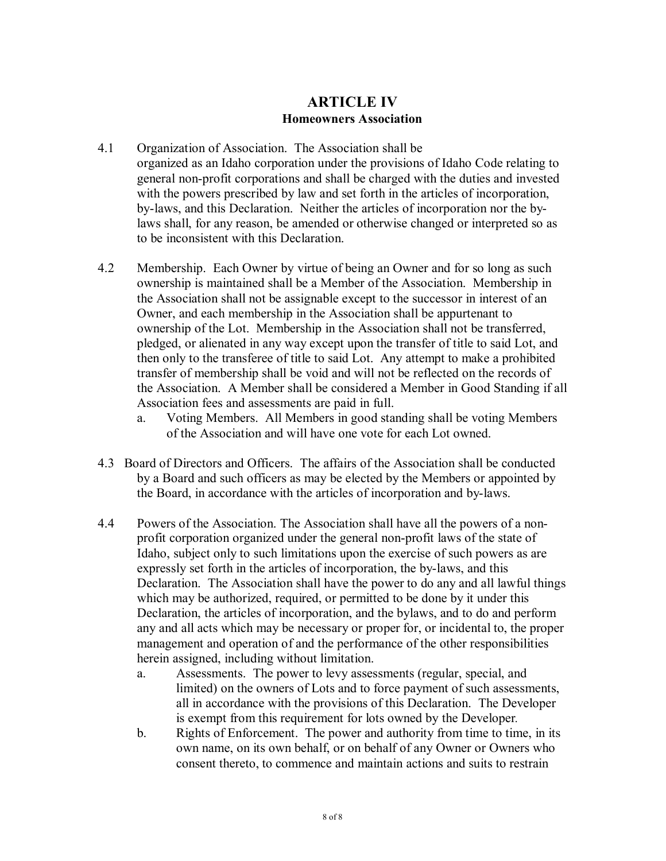#### **ARTICLE IV Homeowners Association**

- 4.1 Organization of Association. The Association shall be organized as an Idaho corporation under the provisions of Idaho Code relating to general non-profit corporations and shall be charged with the duties and invested with the powers prescribed by law and set forth in the articles of incorporation, by-laws, and this Declaration. Neither the articles of incorporation nor the bylaws shall, for any reason, be amended or otherwise changed or interpreted so as to be inconsistent with this Declaration.
- 4.2 Membership. Each Owner by virtue of being an Owner and for so long as such ownership is maintained shall be a Member of the Association. Membership in the Association shall not be assignable except to the successor in interest of an Owner, and each membership in the Association shall be appurtenant to ownership of the Lot. Membership in the Association shall not be transferred, pledged, or alienated in any way except upon the transfer of title to said Lot, and then only to the transferee of title to said Lot. Any attempt to make a prohibited transfer of membership shall be void and will not be reflected on the records of the Association. A Member shall be considered a Member in Good Standing if all Association fees and assessments are paid in full.
	- a. Voting Members. All Members in good standing shall be voting Members of the Association and will have one vote for each Lot owned.
- 4.3 Board of Directors and Officers. The affairs of the Association shall be conducted by a Board and such officers as may be elected by the Members or appointed by the Board, in accordance with the articles of incorporation and by-laws.
- 4.4 Powers of the Association. The Association shall have all the powers of a nonprofit corporation organized under the general non-profit laws of the state of Idaho, subject only to such limitations upon the exercise of such powers as are expressly set forth in the articles of incorporation, the by-laws, and this Declaration. The Association shall have the power to do any and all lawful things which may be authorized, required, or permitted to be done by it under this Declaration, the articles of incorporation, and the bylaws, and to do and perform any and all acts which may be necessary or proper for, or incidental to, the proper management and operation of and the performance of the other responsibilities herein assigned, including without limitation.
	- a. Assessments. The power to levy assessments (regular, special, and limited) on the owners of Lots and to force payment of such assessments, all in accordance with the provisions of this Declaration. The Developer is exempt from this requirement for lots owned by the Developer*.*
	- b. Rights of Enforcement. The power and authority from time to time, in its own name, on its own behalf, or on behalf of any Owner or Owners who consent thereto, to commence and maintain actions and suits to restrain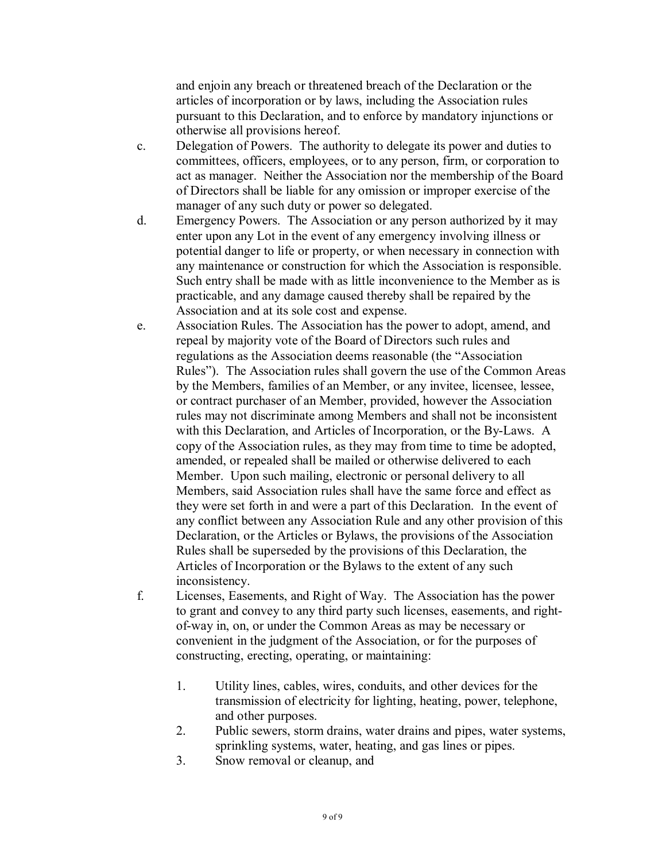and enjoin any breach or threatened breach of the Declaration or the articles of incorporation or by laws, including the Association rules pursuant to this Declaration, and to enforce by mandatory injunctions or otherwise all provisions hereof.

- c. Delegation of Powers. The authority to delegate its power and duties to committees, officers, employees, or to any person, firm, or corporation to act as manager. Neither the Association nor the membership of the Board of Directors shall be liable for any omission or improper exercise of the manager of any such duty or power so delegated.
- d. Emergency Powers. The Association or any person authorized by it may enter upon any Lot in the event of any emergency involving illness or potential danger to life or property, or when necessary in connection with any maintenance or construction for which the Association is responsible. Such entry shall be made with as little inconvenience to the Member as is practicable, and any damage caused thereby shall be repaired by the Association and at its sole cost and expense.
- e. Association Rules. The Association has the power to adopt, amend, and repeal by majority vote of the Board of Directors such rules and regulations as the Association deems reasonable (the "Association Rules"). The Association rules shall govern the use of the Common Areas by the Members, families of an Member, or any invitee, licensee, lessee, or contract purchaser of an Member, provided, however the Association rules may not discriminate among Members and shall not be inconsistent with this Declaration, and Articles of Incorporation, or the By-Laws. A copy of the Association rules, as they may from time to time be adopted, amended, or repealed shall be mailed or otherwise delivered to each Member. Upon such mailing, electronic or personal delivery to all Members, said Association rules shall have the same force and effect as they were set forth in and were a part of this Declaration. In the event of any conflict between any Association Rule and any other provision of this Declaration, or the Articles or Bylaws, the provisions of the Association Rules shall be superseded by the provisions of this Declaration, the Articles of Incorporation or the Bylaws to the extent of any such inconsistency.
- f. Licenses, Easements, and Right of Way. The Association has the power to grant and convey to any third party such licenses, easements, and rightof-way in, on, or under the Common Areas as may be necessary or convenient in the judgment of the Association, or for the purposes of constructing, erecting, operating, or maintaining:
	- 1. Utility lines, cables, wires, conduits, and other devices for the transmission of electricity for lighting, heating, power, telephone, and other purposes.
	- 2. Public sewers, storm drains, water drains and pipes, water systems, sprinkling systems, water, heating, and gas lines or pipes.
	- 3. Snow removal or cleanup, and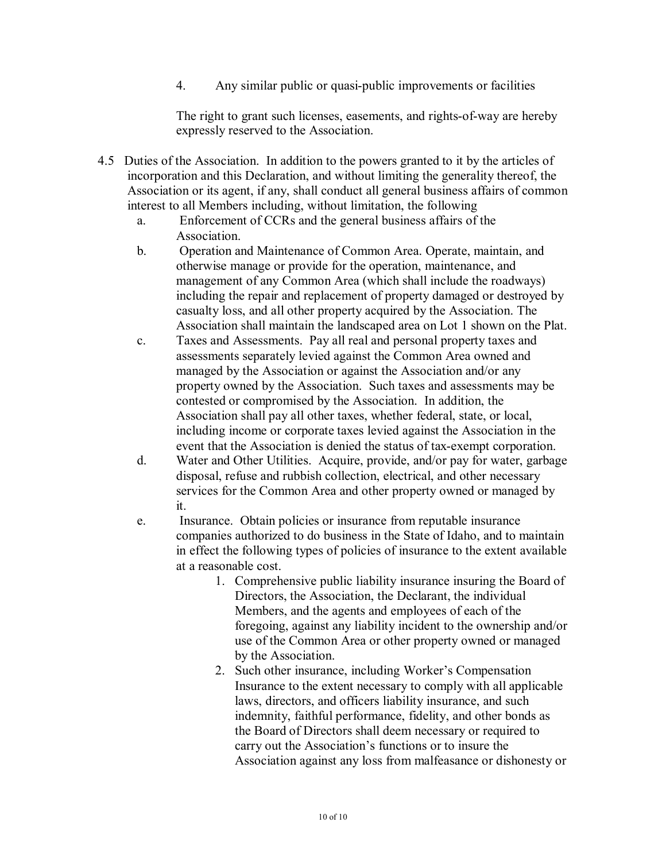4. Any similar public or quasi-public improvements or facilities

The right to grant such licenses, easements, and rights-of-way are hereby expressly reserved to the Association.

- 4.5 Duties of the Association. In addition to the powers granted to it by the articles of incorporation and this Declaration, and without limiting the generality thereof, the Association or its agent, if any, shall conduct all general business affairs of common interest to all Members including, without limitation, the following
	- a. Enforcement of CCRs and the general business affairs of the Association.
	- b. Operation and Maintenance of Common Area. Operate, maintain, and otherwise manage or provide for the operation, maintenance, and management of any Common Area (which shall include the roadways) including the repair and replacement of property damaged or destroyed by casualty loss, and all other property acquired by the Association. The Association shall maintain the landscaped area on Lot 1 shown on the Plat.
	- c. Taxes and Assessments. Pay all real and personal property taxes and assessments separately levied against the Common Area owned and managed by the Association or against the Association and/or any property owned by the Association. Such taxes and assessments may be contested or compromised by the Association. In addition, the Association shall pay all other taxes, whether federal, state, or local, including income or corporate taxes levied against the Association in the event that the Association is denied the status of tax-exempt corporation.
	- d. Water and Other Utilities. Acquire, provide, and/or pay for water, garbage disposal, refuse and rubbish collection, electrical, and other necessary services for the Common Area and other property owned or managed by it.
	- e. Insurance. Obtain policies or insurance from reputable insurance companies authorized to do business in the State of Idaho, and to maintain in effect the following types of policies of insurance to the extent available at a reasonable cost.
		- 1. Comprehensive public liability insurance insuring the Board of Directors, the Association, the Declarant, the individual Members, and the agents and employees of each of the foregoing, against any liability incident to the ownership and/or use of the Common Area or other property owned or managed by the Association.
		- 2. Such other insurance, including Worker's Compensation Insurance to the extent necessary to comply with all applicable laws, directors, and officers liability insurance, and such indemnity, faithful performance, fidelity, and other bonds as the Board of Directors shall deem necessary or required to carry out the Association's functions or to insure the Association against any loss from malfeasance or dishonesty or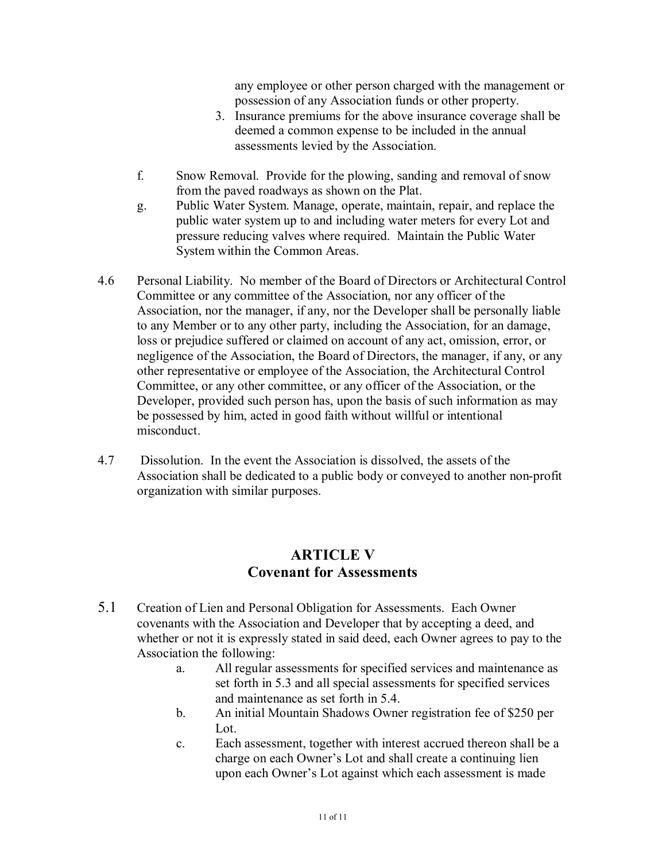any employee or other person charged with the management or possession of any Association funds or other property.

- 3. Insurance premiums for the above insurance coverage shall be deemed a common expense to be included in the annual assessments levied by the Association.
- f. Snow Removal. Provide for the plowing, sanding and removal of snow from the paved roadways as shown on the Plat.
- g. Public Water System. Manage, operate, maintain, repair, and replace the public water system up to and including water meters for every Lot and pressure reducing valves where required. Maintain the Public Water System within the Common Areas.
- 4.6 Personal Liability. No member of the Board of Directors or Architectural Control Committee or any committee of the Association, nor any officer of the Association, nor the manager, if any, nor the Developer shall be personally liable to any Member or to any other party, including the Association, for an damage, loss or prejudice suffered or claimed on account of any act, omission, error, or negligence of the Association, the Board of Directors, the manager, if any, or any other representative or employee of the Association, the Architectural Control Committee, or any other committee, or any officer of the Association, or the Developer, provided such person has, upon the basis of such information as may be possessed by him, acted in good faith without willful or intentional misconduct.
- 4.7 Dissolution. In the event the Association is dissolved, the assets of the Association shall be dedicated to a public body or conveyed to another non-profit organization with similar purposes.

## **ARTICLE V Covenant for Assessments**

- 5.1 Creation of Lien and Personal Obligation for Assessments. Each Owner covenants with the Association and Developer that by accepting a deed, and whether or not it is expressly stated in said deed, each Owner agrees to pay to the Association the following:
	- a. All regular assessments for specified services and maintenance as set forth in 5.3 and all special assessments for specified services and maintenance as set forth in 5.4.
	- b. An initial Mountain Shadows Owner registration fee of \$250 per Lot.
	- c. Each assessment, together with interest accrued thereon shall be a charge on each Owner's Lot and shall create a continuing lien upon each Owner's Lot against which each assessment is made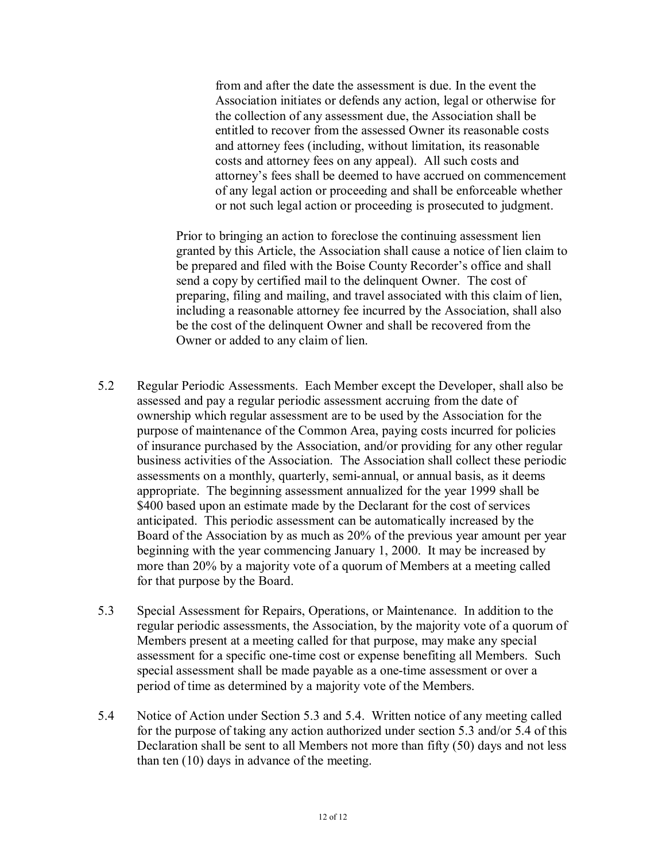from and after the date the assessment is due. In the event the Association initiates or defends any action, legal or otherwise for the collection of any assessment due, the Association shall be entitled to recover from the assessed Owner its reasonable costs and attorney fees (including, without limitation, its reasonable costs and attorney fees on any appeal). All such costs and attorney's fees shall be deemed to have accrued on commencement of any legal action or proceeding and shall be enforceable whether or not such legal action or proceeding is prosecuted to judgment.

Prior to bringing an action to foreclose the continuing assessment lien granted by this Article, the Association shall cause a notice of lien claim to be prepared and filed with the Boise County Recorder's office and shall send a copy by certified mail to the delinquent Owner. The cost of preparing, filing and mailing, and travel associated with this claim of lien, including a reasonable attorney fee incurred by the Association, shall also be the cost of the delinquent Owner and shall be recovered from the Owner or added to any claim of lien.

- 5.2 Regular Periodic Assessments. Each Member except the Developer, shall also be assessed and pay a regular periodic assessment accruing from the date of ownership which regular assessment are to be used by the Association for the purpose of maintenance of the Common Area, paying costs incurred for policies of insurance purchased by the Association, and/or providing for any other regular business activities of the Association. The Association shall collect these periodic assessments on a monthly, quarterly, semi-annual, or annual basis, as it deems appropriate. The beginning assessment annualized for the year 1999 shall be \$400 based upon an estimate made by the Declarant for the cost of services anticipated. This periodic assessment can be automatically increased by the Board of the Association by as much as 20% of the previous year amount per year beginning with the year commencing January 1, 2000. It may be increased by more than 20% by a majority vote of a quorum of Members at a meeting called for that purpose by the Board.
- 5.3 Special Assessment for Repairs, Operations, or Maintenance. In addition to the regular periodic assessments, the Association, by the majority vote of a quorum of Members present at a meeting called for that purpose, may make any special assessment for a specific one-time cost or expense benefiting all Members. Such special assessment shall be made payable as a one-time assessment or over a period of time as determined by a majority vote of the Members.
- 5.4 Notice of Action under Section 5.3 and 5.4. Written notice of any meeting called for the purpose of taking any action authorized under section 5.3 and/or 5.4 of this Declaration shall be sent to all Members not more than fifty (50) days and not less than ten (10) days in advance of the meeting.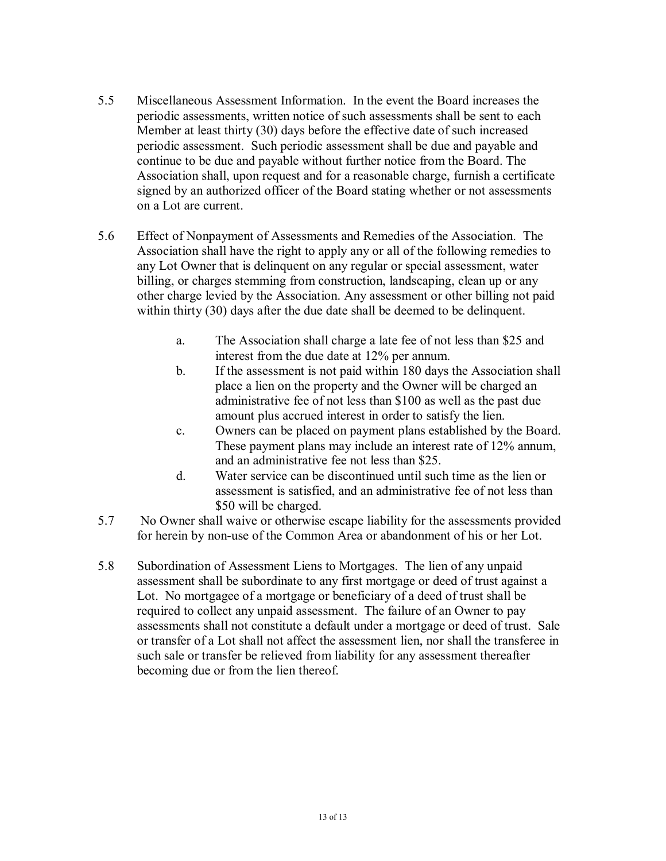- 5.5 Miscellaneous Assessment Information. In the event the Board increases the periodic assessments, written notice of such assessments shall be sent to each Member at least thirty (30) days before the effective date of such increased periodic assessment. Such periodic assessment shall be due and payable and continue to be due and payable without further notice from the Board. The Association shall, upon request and for a reasonable charge, furnish a certificate signed by an authorized officer of the Board stating whether or not assessments on a Lot are current.
- 5.6 Effect of Nonpayment of Assessments and Remedies of the Association. The Association shall have the right to apply any or all of the following remedies to any Lot Owner that is delinquent on any regular or special assessment, water billing, or charges stemming from construction, landscaping, clean up or any other charge levied by the Association. Any assessment or other billing not paid within thirty (30) days after the due date shall be deemed to be delinquent.
	- a. The Association shall charge a late fee of not less than \$25 and interest from the due date at 12% per annum.
	- b. If the assessment is not paid within 180 days the Association shall place a lien on the property and the Owner will be charged an administrative fee of not less than \$100 as well as the past due amount plus accrued interest in order to satisfy the lien.
	- c. Owners can be placed on payment plans established by the Board. These payment plans may include an interest rate of 12% annum, and an administrative fee not less than \$25.
	- d. Water service can be discontinued until such time as the lien or assessment is satisfied, and an administrative fee of not less than \$50 will be charged.
- 5.7 No Owner shall waive or otherwise escape liability for the assessments provided for herein by non-use of the Common Area or abandonment of his or her Lot.
- 5.8 Subordination of Assessment Liens to Mortgages. The lien of any unpaid assessment shall be subordinate to any first mortgage or deed of trust against a Lot. No mortgagee of a mortgage or beneficiary of a deed of trust shall be required to collect any unpaid assessment. The failure of an Owner to pay assessments shall not constitute a default under a mortgage or deed of trust. Sale or transfer of a Lot shall not affect the assessment lien, nor shall the transferee in such sale or transfer be relieved from liability for any assessment thereafter becoming due or from the lien thereof.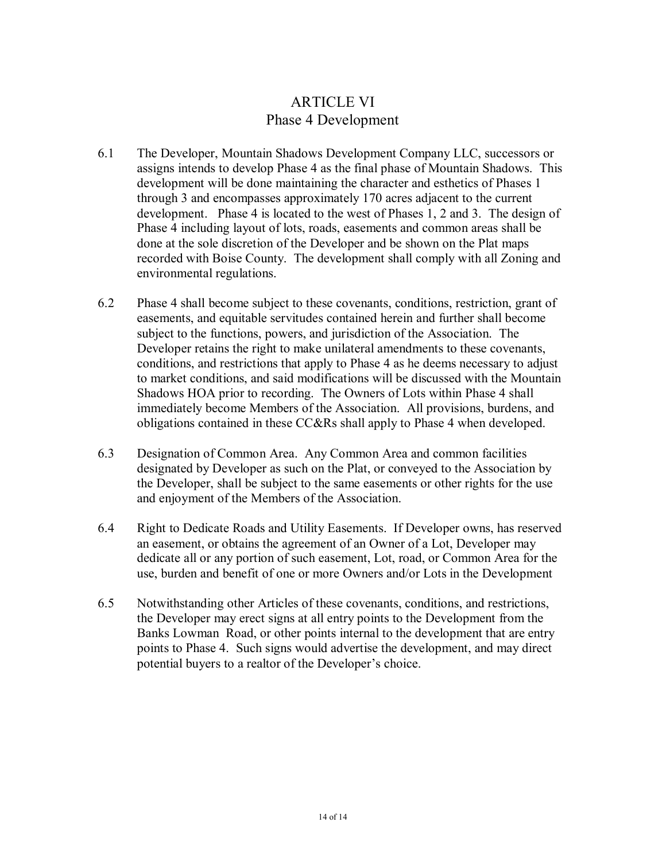# ARTICLE VI Phase 4 Development

- 6.1 The Developer, Mountain Shadows Development Company LLC, successors or assigns intends to develop Phase 4 as the final phase of Mountain Shadows. This development will be done maintaining the character and esthetics of Phases 1 through 3 and encompasses approximately 170 acres adjacent to the current development. Phase 4 is located to the west of Phases 1, 2 and 3. The design of Phase 4 including layout of lots, roads, easements and common areas shall be done at the sole discretion of the Developer and be shown on the Plat maps recorded with Boise County. The development shall comply with all Zoning and environmental regulations.
- 6.2 Phase 4 shall become subject to these covenants, conditions, restriction, grant of easements, and equitable servitudes contained herein and further shall become subject to the functions, powers, and jurisdiction of the Association. The Developer retains the right to make unilateral amendments to these covenants, conditions, and restrictions that apply to Phase 4 as he deems necessary to adjust to market conditions, and said modifications will be discussed with the Mountain Shadows HOA prior to recording. The Owners of Lots within Phase 4 shall immediately become Members of the Association. All provisions, burdens, and obligations contained in these CC&Rs shall apply to Phase 4 when developed.
- 6.3 Designation of Common Area. Any Common Area and common facilities designated by Developer as such on the Plat, or conveyed to the Association by the Developer, shall be subject to the same easements or other rights for the use and enjoyment of the Members of the Association.
- 6.4 Right to Dedicate Roads and Utility Easements. If Developer owns, has reserved an easement, or obtains the agreement of an Owner of a Lot, Developer may dedicate all or any portion of such easement, Lot, road, or Common Area for the use, burden and benefit of one or more Owners and/or Lots in the Development
- 6.5 Notwithstanding other Articles of these covenants, conditions, and restrictions, the Developer may erect signs at all entry points to the Development from the Banks Lowman Road, or other points internal to the development that are entry points to Phase 4. Such signs would advertise the development, and may direct potential buyers to a realtor of the Developer's choice.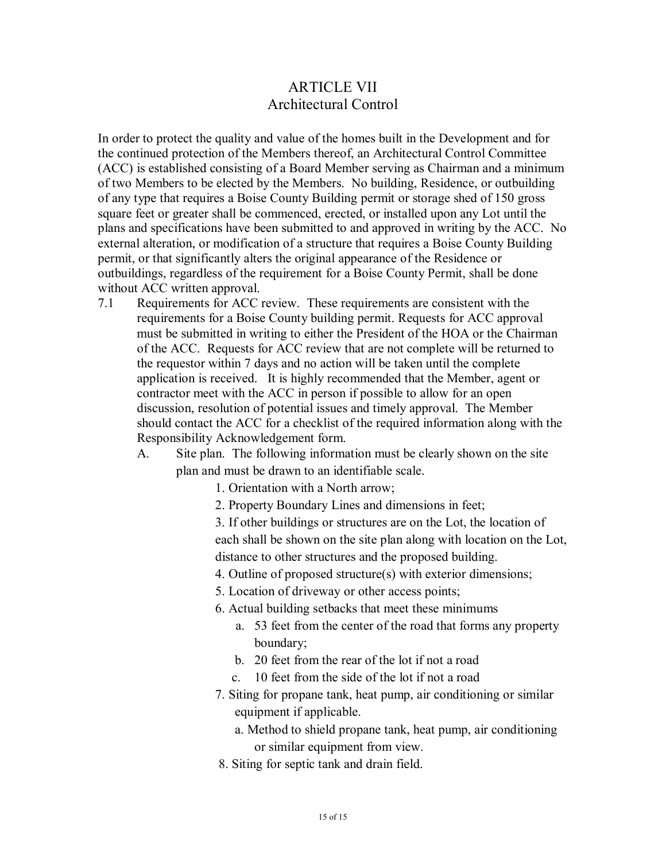## ARTICLE VII Architectural Control

In order to protect the quality and value of the homes built in the Development and for the continued protection of the Members thereof, an Architectural Control Committee (ACC) is established consisting of a Board Member serving as Chairman and a minimum of two Members to be elected by the Members. No building, Residence, or outbuilding of any type that requires a Boise County Building permit or storage shed of 150 gross square feet or greater shall be commenced, erected, or installed upon any Lot until the plans and specifications have been submitted to and approved in writing by the ACC. No external alteration, or modification of a structure that requires a Boise County Building permit, or that significantly alters the original appearance of the Residence or outbuildings, regardless of the requirement for a Boise County Permit, shall be done without ACC written approval.

- 7.1 Requirements for ACC review. These requirements are consistent with the requirements for a Boise County building permit. Requests for ACC approval must be submitted in writing to either the President of the HOA or the Chairman of the ACC. Requests for ACC review that are not complete will be returned to the requestor within 7 days and no action will be taken until the complete application is received. It is highly recommended that the Member, agent or contractor meet with the ACC in person if possible to allow for an open discussion, resolution of potential issues and timely approval. The Member should contact the ACC for a checklist of the required information along with the Responsibility Acknowledgement form.
	- A. Site plan. The following information must be clearly shown on the site plan and must be drawn to an identifiable scale.
		- 1. Orientation with a North arrow;
		- 2. Property Boundary Lines and dimensions in feet;

3. If other buildings or structures are on the Lot, the location of each shall be shown on the site plan along with location on the Lot, distance to other structures and the proposed building.

- 4. Outline of proposed structure(s) with exterior dimensions;
- 5. Location of driveway or other access points;
- 6. Actual building setbacks that meet these minimums
	- a. 53 feet from the center of the road that forms any property boundary;
	- b. 20 feet from the rear of the lot if not a road
	- c. 10 feet from the side of the lot if not a road
- 7. Siting for propane tank, heat pump, air conditioning or similar equipment if applicable.
	- a. Method to shield propane tank, heat pump, air conditioning or similar equipment from view.
- 8. Siting for septic tank and drain field.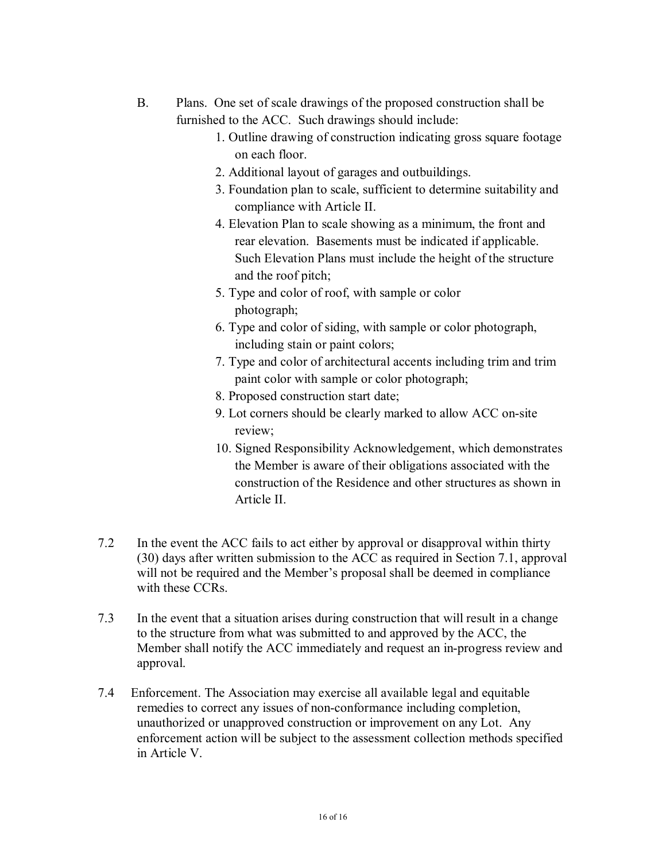- B. Plans. One set of scale drawings of the proposed construction shall be furnished to the ACC. Such drawings should include:
	- 1. Outline drawing of construction indicating gross square footage on each floor.
	- 2. Additional layout of garages and outbuildings.
	- 3. Foundation plan to scale, sufficient to determine suitability and compliance with Article II.
	- 4. Elevation Plan to scale showing as a minimum, the front and rear elevation. Basements must be indicated if applicable. Such Elevation Plans must include the height of the structure and the roof pitch;
	- 5. Type and color of roof, with sample or color photograph;
	- 6. Type and color of siding, with sample or color photograph, including stain or paint colors;
	- 7. Type and color of architectural accents including trim and trim paint color with sample or color photograph;
	- 8. Proposed construction start date;
	- 9. Lot corners should be clearly marked to allow ACC on-site review;
	- 10. Signed Responsibility Acknowledgement, which demonstrates the Member is aware of their obligations associated with the construction of the Residence and other structures as shown in Article II.
- 7.2 In the event the ACC fails to act either by approval or disapproval within thirty (30) days after written submission to the ACC as required in Section 7.1, approval will not be required and the Member's proposal shall be deemed in compliance with these CCRs.
- 7.3 In the event that a situation arises during construction that will result in a change to the structure from what was submitted to and approved by the ACC, the Member shall notify the ACC immediately and request an in-progress review and approval.
- 7.4 Enforcement. The Association may exercise all available legal and equitable remedies to correct any issues of non-conformance including completion, unauthorized or unapproved construction or improvement on any Lot. Any enforcement action will be subject to the assessment collection methods specified in Article V.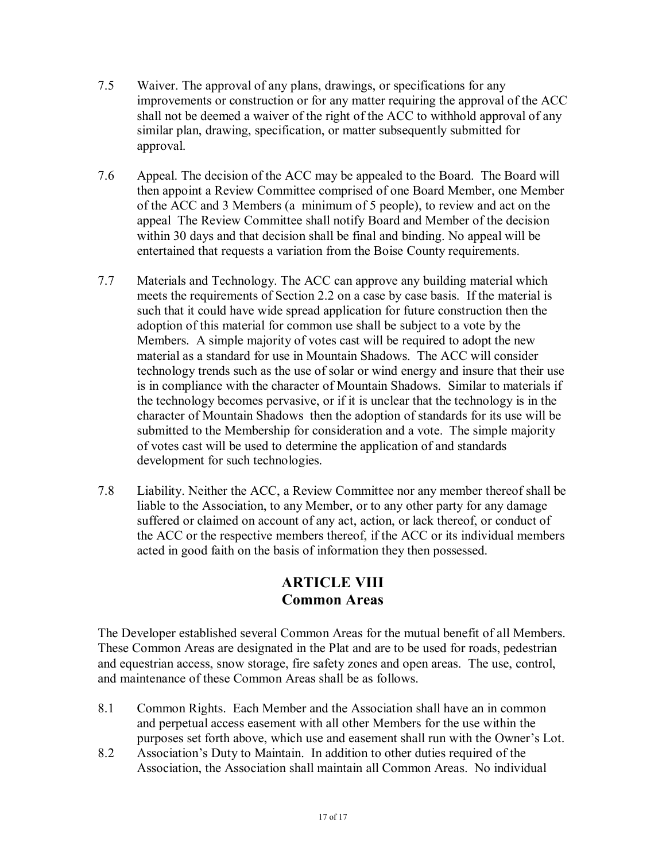- 7.5 Waiver. The approval of any plans, drawings, or specifications for any improvements or construction or for any matter requiring the approval of the ACC shall not be deemed a waiver of the right of the ACC to withhold approval of any similar plan, drawing, specification, or matter subsequently submitted for approval.
- 7.6 Appeal. The decision of the ACC may be appealed to the Board. The Board will then appoint a Review Committee comprised of one Board Member, one Member of the ACC and 3 Members (a minimum of 5 people), to review and act on the appeal The Review Committee shall notify Board and Member of the decision within 30 days and that decision shall be final and binding. No appeal will be entertained that requests a variation from the Boise County requirements.
- 7.7 Materials and Technology. The ACC can approve any building material which meets the requirements of Section 2.2 on a case by case basis. If the material is such that it could have wide spread application for future construction then the adoption of this material for common use shall be subject to a vote by the Members. A simple majority of votes cast will be required to adopt the new material as a standard for use in Mountain Shadows. The ACC will consider technology trends such as the use of solar or wind energy and insure that their use is in compliance with the character of Mountain Shadows. Similar to materials if the technology becomes pervasive, or if it is unclear that the technology is in the character of Mountain Shadows then the adoption of standards for its use will be submitted to the Membership for consideration and a vote. The simple majority of votes cast will be used to determine the application of and standards development for such technologies.
- 7.8 Liability. Neither the ACC, a Review Committee nor any member thereof shall be liable to the Association, to any Member, or to any other party for any damage suffered or claimed on account of any act, action, or lack thereof, or conduct of the ACC or the respective members thereof, if the ACC or its individual members acted in good faith on the basis of information they then possessed.

## **ARTICLE VIII Common Areas**

The Developer established several Common Areas for the mutual benefit of all Members. These Common Areas are designated in the Plat and are to be used for roads, pedestrian and equestrian access, snow storage, fire safety zones and open areas. The use, control, and maintenance of these Common Areas shall be as follows.

- 8.1 Common Rights. Each Member and the Association shall have an in common and perpetual access easement with all other Members for the use within the purposes set forth above, which use and easement shall run with the Owner's Lot.
- 8.2 Association's Duty to Maintain. In addition to other duties required of the Association, the Association shall maintain all Common Areas. No individual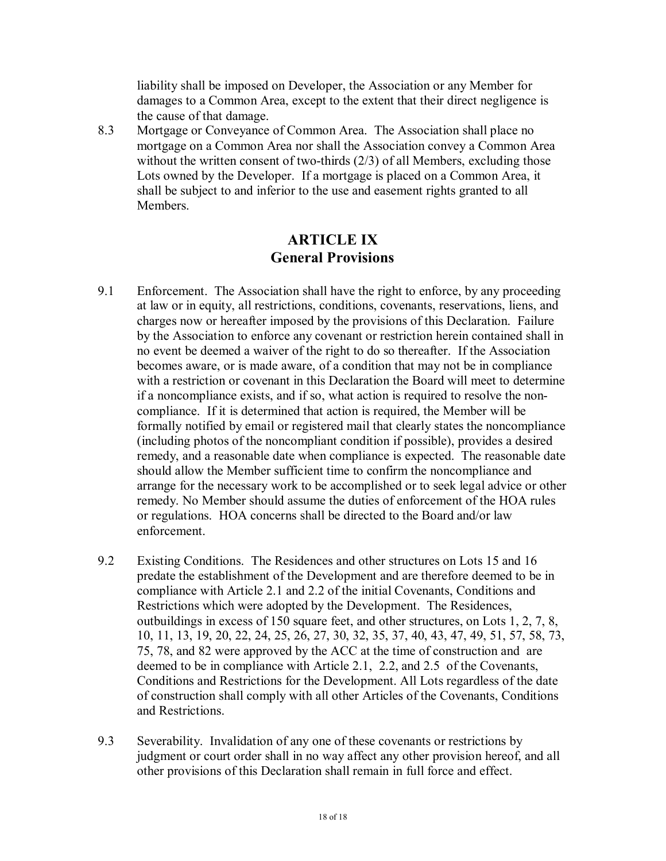liability shall be imposed on Developer, the Association or any Member for damages to a Common Area, except to the extent that their direct negligence is the cause of that damage.

8.3 Mortgage or Conveyance of Common Area. The Association shall place no mortgage on a Common Area nor shall the Association convey a Common Area without the written consent of two-thirds (2/3) of all Members, excluding those Lots owned by the Developer. If a mortgage is placed on a Common Area, it shall be subject to and inferior to the use and easement rights granted to all Members.

## **ARTICLE IX General Provisions**

- 9.1 Enforcement. The Association shall have the right to enforce, by any proceeding at law or in equity, all restrictions, conditions, covenants, reservations, liens, and charges now or hereafter imposed by the provisions of this Declaration. Failure by the Association to enforce any covenant or restriction herein contained shall in no event be deemed a waiver of the right to do so thereafter. If the Association becomes aware, or is made aware, of a condition that may not be in compliance with a restriction or covenant in this Declaration the Board will meet to determine if a noncompliance exists, and if so, what action is required to resolve the noncompliance. If it is determined that action is required, the Member will be formally notified by email or registered mail that clearly states the noncompliance (including photos of the noncompliant condition if possible), provides a desired remedy, and a reasonable date when compliance is expected. The reasonable date should allow the Member sufficient time to confirm the noncompliance and arrange for the necessary work to be accomplished or to seek legal advice or other remedy. No Member should assume the duties of enforcement of the HOA rules or regulations. HOA concerns shall be directed to the Board and/or law enforcement.
- 9.2 Existing Conditions. The Residences and other structures on Lots 15 and 16 predate the establishment of the Development and are therefore deemed to be in compliance with Article 2.1 and 2.2 of the initial Covenants, Conditions and Restrictions which were adopted by the Development. The Residences, outbuildings in excess of 150 square feet, and other structures, on Lots 1, 2, 7, 8, 10, 11, 13, 19, 20, 22, 24, 25, 26, 27, 30, 32, 35, 37, 40, 43, 47, 49, 51, 57, 58, 73, 75, 78, and 82 were approved by the ACC at the time of construction and are deemed to be in compliance with Article 2.1, 2.2, and 2.5 of the Covenants, Conditions and Restrictions for the Development. All Lots regardless of the date of construction shall comply with all other Articles of the Covenants, Conditions and Restrictions.
- 9.3 Severability. Invalidation of any one of these covenants or restrictions by judgment or court order shall in no way affect any other provision hereof, and all other provisions of this Declaration shall remain in full force and effect.